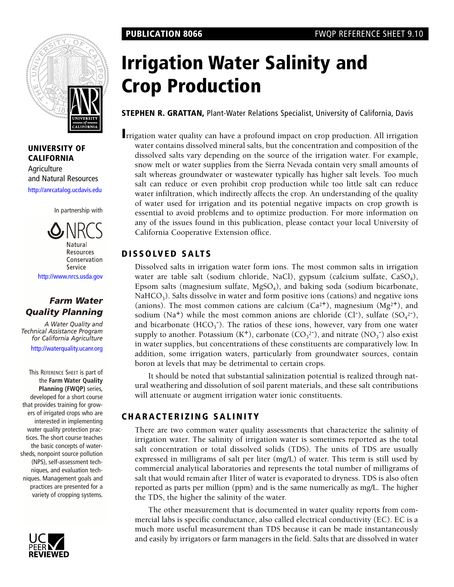

**UNIVERSITY OF CALIFORNIA Agriculture** [and Natural Resources](http://anrcatalog.ucdavis.edu) <http://anrcatalog.ucdavis.edu>

In partnership with



# *Farm Water Quality Planning*

*A Water Quality and Technical Assistance Program for California Agriculture*

[http://waterquality.ucanr.org](http://waterquality.ucanr.org/)

This REFERENCE SHEET is part of the **Farm Water Quality Planning (FWQP)** series, developed for a short course that provides training for growers of irrigated crops who are interested in implementing water quality protection practices. The short course teaches the basic concepts of watersheds, nonpoint source pollution (NPS), self-assessment techniques, and evaluation techniques. Management goals and practices are presented for a variety of cropping systems.



# **Irrigation Water Salinity and Crop Production**

**STEPHEN R. GRATTAN,** Plant-Water Relations Specialist, University of California, Davis

**I**rrigation water quality can have a profound impact on crop production. All irrigation water contains dissolved mineral salts, but the concentration and composition of the dissolved salts vary depending on the source of the irrigation water. For example, snow melt or water supplies from the Sierra Nevada contain very small amounts of salt whereas groundwater or wastewater typically has higher salt levels. Too much salt can reduce or even prohibit crop production while too little salt can reduce water infiltration, which indirectly affects the crop. An understanding of the quality of water used for irrigation and its potential negative impacts on crop growth is essential to avoid problems and to optimize production. For more information on any of the issues found in this publication, please contact your local University of California Cooperative Extension office.

# **DISSOLVED SALTS**

Dissolved salts in irrigation water form ions. The most common salts in irrigation water are table salt (sodium chloride, NaCl), gypsum (calcium sulfate, CaSO<sub>4</sub>), Epsom salts (magnesium sulfate,  $MgSO<sub>4</sub>$ ), and baking soda (sodium bicarbonate,  $NaHCO<sub>3</sub>$ ). Salts dissolve in water and form positive ions (cations) and negative ions (anions). The most common cations are calcium  $(Ca^{2+})$ , magnesium  $(Mg^{2+})$ , and sodium (Na<sup>+</sup>) while the most common anions are chloride (Cl<sup>-</sup>), sulfate (SO<sub>4</sub><sup>2-</sup>), and bicarbonate  $(HCO_3^-)$ . The ratios of these ions, however, vary from one water supply to another. Potassium  $(K^+)$ , carbonate  $(CO_3^2)$ , and nitrate  $(NO_3^-)$  also exist in water supplies, but concentrations of these constituents are comparatively low. In addition, some irrigation waters, particularly from groundwater sources, contain boron at levels that may be detrimental to certain crops.

It should be noted that substantial salinization potential is realized through natural weathering and dissolution of soil parent materials, and these salt contributions will attenuate or augment irrigation water ionic constituents.

# **CHARACTERIZING SALINITY**

There are two common water quality assessments that characterize the salinity of irrigation water. The salinity of irrigation water is sometimes reported as the total salt concentration or total dissolved solids (TDS). The units of TDS are usually expressed in milligrams of salt per liter (mg/L) of water. This term is still used by commercial analytical laboratories and represents the total number of milligrams of salt that would remain after 1liter of water is evaporated to dryness. TDS is also often reported as parts per million (ppm) and is the same numerically as mg/L. The higher the TDS, the higher the salinity of the water.

The other measurement that is documented in water quality reports from commercial labs is specific conductance, also called electrical conductivity (EC). EC is a much more useful measurement than TDS because it can be made instantaneously and easily by irrigators or farm managers in the field. Salts that are dissolved in water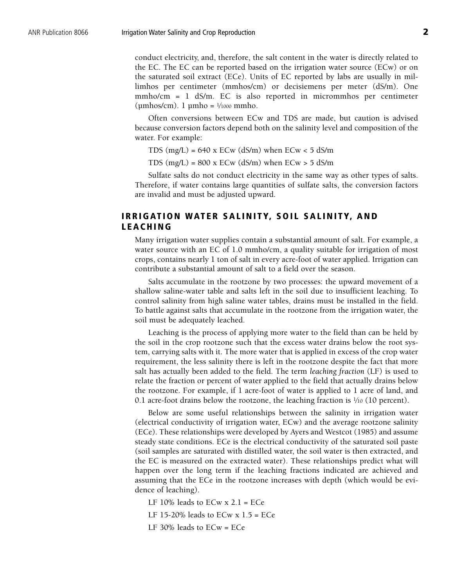conduct electricity, and, therefore, the salt content in the water is directly related to the EC. The EC can be reported based on the irrigation water source (ECw) or on the saturated soil extract (ECe). Units of EC reported by labs are usually in millimhos per centimeter (mmhos/cm) or decisiemens per meter (dS/m). One mmho/cm = 1 dS/m. EC is also reported in micrommhos per centimeter  $(\mu m \text{hos/cm})$ . 1  $\mu m \text{h} \text{o} = \frac{1}{1000} \text{mm}$ ho.

Often conversions between ECw and TDS are made, but caution is advised because conversion factors depend both on the salinity level and composition of the water. For example:

TDS  $(mg/L) = 640$  x ECw  $(dS/m)$  when ECw < 5 dS/m

TDS  $(mg/L) = 800$  x ECw  $(dS/m)$  when ECw > 5 dS/m

Sulfate salts do not conduct electricity in the same way as other types of salts. Therefore, if water contains large quantities of sulfate salts, the conversion factors are invalid and must be adjusted upward.

### **IRRIGATION WATER SALINITY, SOIL SALINITY, AND LEACHING**

Many irrigation water supplies contain a substantial amount of salt. For example, a water source with an EC of 1.0 mmho/cm, a quality suitable for irrigation of most crops, contains nearly 1 ton of salt in every acre-foot of water applied. Irrigation can contribute a substantial amount of salt to a field over the season.

Salts accumulate in the rootzone by two processes: the upward movement of a shallow saline-water table and salts left in the soil due to insufficient leaching. To control salinity from high saline water tables, drains must be installed in the field. To battle against salts that accumulate in the rootzone from the irrigation water, the soil must be adequately leached.

Leaching is the process of applying more water to the field than can be held by the soil in the crop rootzone such that the excess water drains below the root system, carrying salts with it. The more water that is applied in excess of the crop water requirement, the less salinity there is left in the rootzone despite the fact that more salt has actually been added to the field. The term *leaching fraction* (LF) is used to relate the fraction or percent of water applied to the field that actually drains below the rootzone. For example, if 1 acre-foot of water is applied to 1 acre of land, and 0.1 acre-foot drains below the rootzone, the leaching fraction is  $1/10$  (10 percent).

Below are some useful relationships between the salinity in irrigation water (electrical conductivity of irrigation water, ECw) and the average rootzone salinity (ECe). These relationships were developed by Ayers and Westcot (1985) and assume steady state conditions. ECe is the electrical conductivity of the saturated soil paste (soil samples are saturated with distilled water, the soil water is then extracted, and the EC is measured on the extracted water). These relationships predict what will happen over the long term if the leaching fractions indicated are achieved and assuming that the ECe in the rootzone increases with depth (which would be evidence of leaching).

LF  $10\%$  leads to ECw x  $2.1$  = ECe

LF 15-20% leads to  $ECw \times 1.5 = ECe$ 

LF 30% leads to ECw = ECe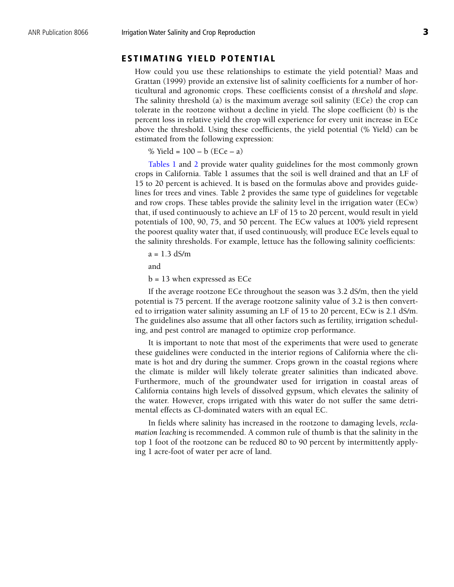#### **ESTIMATING YIELD POTENTIAL**

How could you use these relationships to estimate the yield potential? Maas and Grattan (1999) provide an extensive list of salinity coefficients for a number of horticultural and agronomic crops. These coefficients consist of a *threshold* and *slope*. The salinity threshold (a) is the maximum average soil salinity (ECe) the crop can tolerate in the rootzone without a decline in yield. The slope coefficient (b) is the percent loss in relative yield the crop will experience for every unit increase in ECe above the threshold. Using these coefficients, the yield potential (% Yield) can be estimated from the following expression:

% Yield =  $100 - b$  (ECe – a)

[Tables 1](#page-3-0) an[d 2 p](#page-4-0)rovide water quality guidelines for the most commonly grown crops in California. Table 1 assumes that the soil is well drained and that an LF of 15 to 20 percent is achieved. It is based on the formulas above and provides guidelines for trees and vines. Table 2 provides the same type of guidelines for vegetable and row crops. These tables provide the salinity level in the irrigation water (ECw) that, if used continuously to achieve an LF of 15 to 20 percent, would result in yield potentials of 100, 90, 75, and 50 percent. The ECw values at 100% yield represent the poorest quality water that, if used continuously, will produce ECe levels equal to the salinity thresholds. For example, lettuce has the following salinity coefficients:

$$
a = 1.3 \text{ dS/m}
$$

and

b = 13 when expressed as ECe

If the average rootzone ECe throughout the season was 3.2 dS/m, then the yield potential is 75 percent. If the average rootzone salinity value of 3.2 is then converted to irrigation water salinity assuming an LF of 15 to 20 percent, ECw is 2.1 dS/m. The guidelines also assume that all other factors such as fertility, irrigation scheduling, and pest control are managed to optimize crop performance.

It is important to note that most of the experiments that were used to generate these guidelines were conducted in the interior regions of California where the climate is hot and dry during the summer. Crops grown in the coastal regions where the climate is milder will likely tolerate greater salinities than indicated above. Furthermore, much of the groundwater used for irrigation in coastal areas of California contains high levels of dissolved gypsum, which elevates the salinity of the water. However, crops irrigated with this water do not suffer the same detrimental effects as Cl-dominated waters with an equal EC.

In fields where salinity has increased in the rootzone to damaging levels, *reclamation leaching* is recommended. A common rule of thumb is that the salinity in the top 1 foot of the rootzone can be reduced 80 to 90 percent by intermittently applying 1 acre-foot of water per acre of land.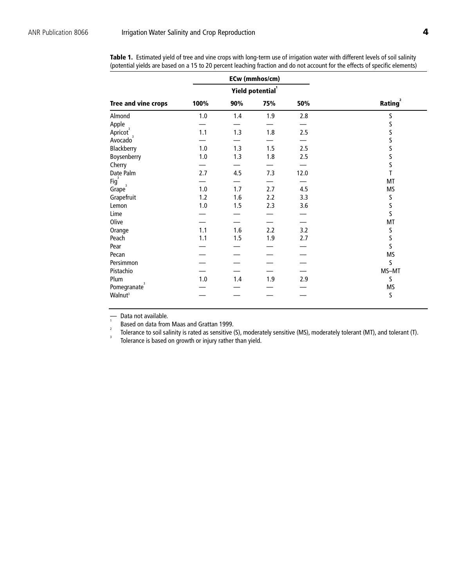|                            |       | ECw (mmhos/cm)  |     |      |                            |
|----------------------------|-------|-----------------|-----|------|----------------------------|
|                            |       | Yield potential |     |      |                            |
| <b>Tree and vine crops</b> | 100%  | 90%             | 75% | 50%  | <b>Rating</b> <sup>2</sup> |
| Almond                     | 1.0   | 1.4             | 1.9 | 2.8  | $\sf S$                    |
| Apple                      |       |                 |     |      | $\sf S$                    |
| Apricot <sup>3</sup>       | 1.1   | 1.3             | 1.8 | 2.5  | $\sf S$                    |
| Avocado <sup>3</sup>       |       |                 |     |      | $\sf S$                    |
| Blackberry                 | 1.0   | 1.3             | 1.5 | 2.5  | $\sf S$                    |
| Boysenberry                | $1.0$ | 1.3             | 1.8 | 2.5  | $\sf S$                    |
| Cherry                     |       |                 |     |      | $\mathsf S$                |
| Date Palm                  | 2.7   | 4.5             | 7.3 | 12.0 | T                          |
| Fig <sup>3</sup>           |       |                 |     |      | MT                         |
| Grape <sup>3</sup>         | 1.0   | 1.7             | 2.7 | 4.5  | MS                         |
| Grapefruit                 | $1.2$ | 1.6             | 2.2 | 3.3  | S                          |
| Lemon                      | 1.0   | 1.5             | 2.3 | 3.6  | $\sf S$                    |
| Lime                       |       |                 |     |      | $\mathsf S$                |
| Olive                      |       |                 |     |      | MT                         |
| Orange                     | 1.1   | 1.6             | 2.2 | 3.2  | $\sf S$                    |
| Peach                      | 1.1   | 1.5             | 1.9 | 2.7  | $\sf S$                    |
| Pear                       |       |                 |     |      | $\overline{\mathsf{S}}$    |
| Pecan                      |       |                 |     |      | <b>MS</b>                  |
| Persimmon                  |       |                 |     |      | S                          |
| Pistachio                  |       |                 |     |      | MS-MT                      |
| Plum                       | 1.0   | 1.4             | 1.9 | 2.9  | S                          |
| 3<br>Pomegranate           |       |                 |     |      | <b>MS</b>                  |
| Walnut <sup>3</sup>        |       |                 |     |      | $\sf S$                    |

<span id="page-3-0"></span>Table 1. Estimated yield of tree and vine crops with long-term use of irrigation water with different levels of soil salinity (potential yields are based on a 15 to 20 percent leaching fraction and do not account for the effects of specific elements)

— Data not available. 1

 $\frac{1}{2}$  Based on data from Maas and Grattan 1999.

Tolerance to soil salinity is rated as sensitive (S), moderately sensitive (MS), moderately tolerant (MT), and tolerant (T).

Tolerance is based on growth or injury rather than yield.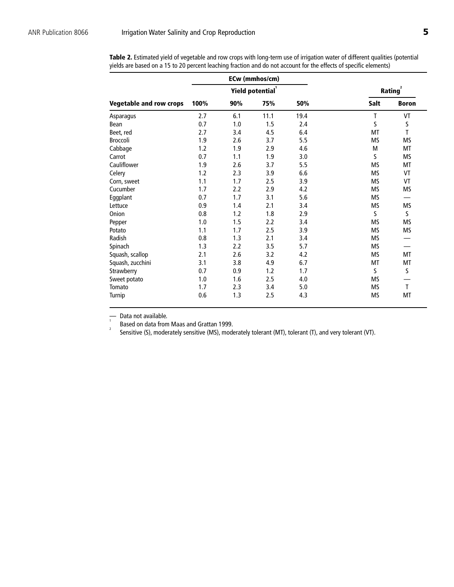|                                |      | ECw (mmhos/cm) |                              |                            |           |              |
|--------------------------------|------|----------------|------------------------------|----------------------------|-----------|--------------|
|                                |      |                | Yield potential <sup>1</sup> | <b>Rating</b> <sup>2</sup> |           |              |
| <b>Vegetable and row crops</b> | 100% | 90%            | 75%                          | 50%                        | Salt      | <b>Boron</b> |
| Asparagus                      | 2.7  | 6.1            | 11.1                         | 19.4                       | T         | VT           |
| Bean                           | 0.7  | 1.0            | 1.5                          | 2.4                        | S         | S            |
| Beet, red                      | 2.7  | 3.4            | 4.5                          | 6.4                        | MT        | $\mathsf{T}$ |
| <b>Broccoli</b>                | 1.9  | 2.6            | 3.7                          | 5.5                        | <b>MS</b> | MS           |
| Cabbage                        | 1.2  | 1.9            | 2.9                          | 4.6                        | M         | MT           |
| Carrot                         | 0.7  | 1.1            | 1.9                          | 3.0                        | S         | <b>MS</b>    |
| Cauliflower                    | 1.9  | 2.6            | 3.7                          | 5.5                        | <b>MS</b> | МT           |
| Celery                         | 1.2  | 2.3            | 3.9                          | 6.6                        | MS        | VT           |
| Corn, sweet                    | 1.1  | 1.7            | 2.5                          | 3.9                        | <b>MS</b> | VT           |
| Cucumber                       | 1.7  | 2.2            | 2.9                          | 4.2                        | <b>MS</b> | <b>MS</b>    |
| Eggplant                       | 0.7  | 1.7            | 3.1                          | 5.6                        | MS        |              |
| Lettuce                        | 0.9  | 1.4            | 2.1                          | 3.4                        | <b>MS</b> | <b>MS</b>    |
| Onion                          | 0.8  | 1.2            | 1.8                          | 2.9                        | S         | S            |
| Pepper                         | 1.0  | 1.5            | 2.2                          | 3.4                        | <b>MS</b> | MS           |
| Potato                         | 1.1  | 1.7            | 2.5                          | 3.9                        | <b>MS</b> | <b>MS</b>    |
| Radish                         | 0.8  | 1.3            | 2.1                          | 3.4                        | MS        |              |
| Spinach                        | 1.3  | 2.2            | 3.5                          | 5.7                        | MS        |              |
| Squash, scallop                | 2.1  | 2.6            | 3.2                          | 4.2                        | <b>MS</b> | MT           |
| Squash, zucchini               | 3.1  | 3.8            | 4.9                          | 6.7                        | МT        | МT           |
| Strawberry                     | 0.7  | 0.9            | 1.2                          | 1.7                        | S         | S            |
| Sweet potato                   | 1.0  | 1.6            | 2.5                          | 4.0                        | <b>MS</b> |              |
| Tomato                         | 1.7  | 2.3            | 3.4                          | 5.0                        | <b>MS</b> | T            |
| Turnip                         | 0.6  | 1.3            | 2.5                          | 4.3                        | MS        | МT           |

<span id="page-4-0"></span>**Table 2.** Estimated yield of vegetable and row crops with long-term use of irrigation water of different qualities (potential yields are based on a 15 to 20 percent leaching fraction and do not account for the effects of specific elements)

 $\frac{1}{1}$  Data not available.

Based on data from Maas and Grattan 1999. <sup>2</sup> Sensitive (S), moderately sensitive (MS), moderately tolerant (MT), tolerant (T), and very tolerant (VT).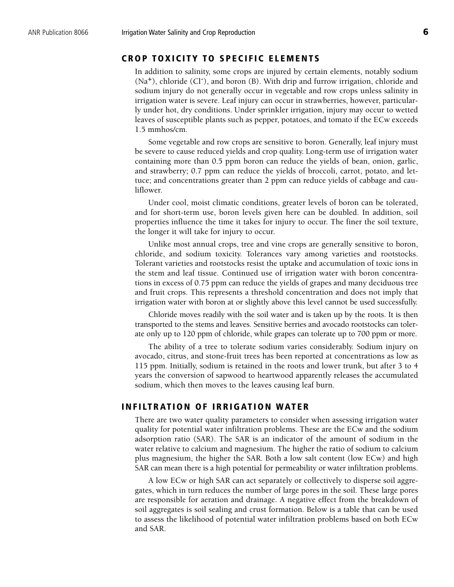## **CROP TOXICITY TO SPECIFIC ELEMENTS**

In addition to salinity, some crops are injured by certain elements, notably sodium  $(Na<sup>+</sup>)$ , chloride (Cl<sup>-</sup>), and boron (B). With drip and furrow irrigation, chloride and sodium injury do not generally occur in vegetable and row crops unless salinity in irrigation water is severe. Leaf injury can occur in strawberries, however, particularly under hot, dry conditions. Under sprinkler irrigation, injury may occur to wetted leaves of susceptible plants such as pepper, potatoes, and tomato if the ECw exceeds 1.5 mmhos/cm.

Some vegetable and row crops are sensitive to boron. Generally, leaf injury must be severe to cause reduced yields and crop quality. Long-term use of irrigation water containing more than 0.5 ppm boron can reduce the yields of bean, onion, garlic, and strawberry; 0.7 ppm can reduce the yields of broccoli, carrot, potato, and lettuce; and concentrations greater than 2 ppm can reduce yields of cabbage and cauliflower.

Under cool, moist climatic conditions, greater levels of boron can be tolerated, and for short-term use, boron levels given here can be doubled. In addition, soil properties influence the time it takes for injury to occur. The finer the soil texture, the longer it will take for injury to occur.

Unlike most annual crops, tree and vine crops are generally sensitive to boron, chloride, and sodium toxicity. Tolerances vary among varieties and rootstocks. Tolerant varieties and rootstocks resist the uptake and accumulation of toxic ions in the stem and leaf tissue. Continued use of irrigation water with boron concentrations in excess of 0.75 ppm can reduce the yields of grapes and many deciduous tree and fruit crops. This represents a threshold concentration and does not imply that irrigation water with boron at or slightly above this level cannot be used successfully.

Chloride moves readily with the soil water and is taken up by the roots. It is then transported to the stems and leaves. Sensitive berries and avocado rootstocks can tolerate only up to 120 ppm of chloride, while grapes can tolerate up to 700 ppm or more.

The ability of a tree to tolerate sodium varies considerably. Sodium injury on avocado, citrus, and stone-fruit trees has been reported at concentrations as low as 115 ppm. Initially, sodium is retained in the roots and lower trunk, but after 3 to 4 years the conversion of sapwood to heartwood apparently releases the accumulated sodium, which then moves to the leaves causing leaf burn.

#### **INFILTRATION OF IRRIGATION WATER**

There are two water quality parameters to consider when assessing irrigation water quality for potential water infiltration problems. These are the ECw and the sodium adsorption ratio (SAR). The SAR is an indicator of the amount of sodium in the water relative to calcium and magnesium. The higher the ratio of sodium to calcium plus magnesium, the higher the SAR. Both a low salt content (low ECw) and high SAR can mean there is a high potential for permeability or water infiltration problems.

A low ECw or high SAR can act separately or collectively to disperse soil aggregates, which in turn reduces the number of large pores in the soil. These large pores are responsible for aeration and drainage. A negative effect from the breakdown of soil aggregates is soil sealing and crust formation. Below is a table that can be used to assess the likelihood of potential water infiltration problems based on both ECw and SAR.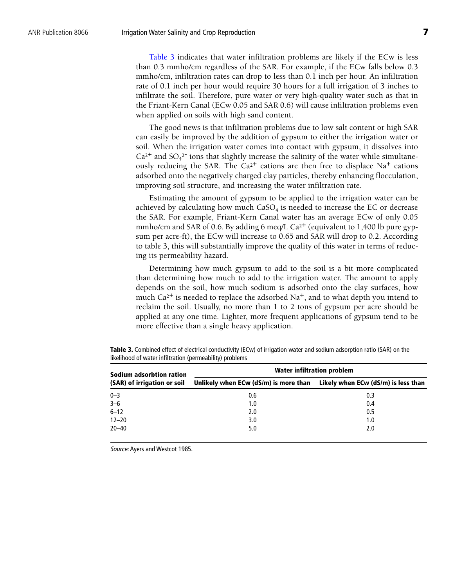Table 3 indicates that water infiltration problems are likely if the ECw is less than 0.3 mmho/cm regardless of the SAR. For example, if the ECw falls below 0.3 mmho/cm, infiltration rates can drop to less than 0.1 inch per hour. An infiltration rate of 0.1 inch per hour would require 30 hours for a full irrigation of 3 inches to infiltrate the soil. Therefore, pure water or very high-quality water such as that in the Friant-Kern Canal (ECw 0.05 and SAR 0.6) will cause infiltration problems even when applied on soils with high sand content.

The good news is that infiltration problems due to low salt content or high SAR can easily be improved by the addition of gypsum to either the irrigation water or soil. When the irrigation water comes into contact with gypsum, it dissolves into  $Ca<sup>2+</sup>$  and SO<sub>4</sub><sup>2-</sup> ions that slightly increase the salinity of the water while simultaneously reducing the SAR. The  $Ca^{2+}$  cations are then free to displace Na<sup>+</sup> cations adsorbed onto the negatively charged clay particles, thereby enhancing flocculation, improving soil structure, and increasing the water infiltration rate.

Estimating the amount of gypsum to be applied to the irrigation water can be achieved by calculating how much  $CaSO<sub>4</sub>$  is needed to increase the EC or decrease the SAR. For example, Friant-Kern Canal water has an average ECw of only 0.05 mmho/cm and SAR of 0.6. By adding 6 meq/L  $Ca^{2+}$  (equivalent to 1,400 lb pure gypsum per acre-ft), the ECw will increase to 0.65 and SAR will drop to 0.2. According to table 3, this will substantially improve the quality of this water in terms of reducing its permeability hazard.

Determining how much gypsum to add to the soil is a bit more complicated than determining how much to add to the irrigation water. The amount to apply depends on the soil, how much sodium is adsorbed onto the clay surfaces, how much Ca<sup>2+</sup> is needed to replace the adsorbed Na<sup>+</sup>, and to what depth you intend to reclaim the soil. Usually, no more than 1 to 2 tons of gypsum per acre should be applied at any one time. Lighter, more frequent applications of gypsum tend to be more effective than a single heavy application.

| Sodium adsorbtion ration    | Water infiltration problem            |                                     |  |  |  |
|-----------------------------|---------------------------------------|-------------------------------------|--|--|--|
| (SAR) of irrigation or soil | Unlikely when ECw (dS/m) is more than | Likely when ECw (dS/m) is less than |  |  |  |
| $0 - 3$                     | 0.6                                   | 0.3                                 |  |  |  |
| $3-6$<br>6-12               | 1.0                                   | 0.4                                 |  |  |  |
|                             | 2.0                                   | 0.5                                 |  |  |  |
| $12 - 20$                   | 3.0                                   | 1.0                                 |  |  |  |
| $20 - 40$                   | 5.0                                   | 2.0                                 |  |  |  |

**Table 3.** Combined effect of electrical conductivity (ECw) of irrigation water and sodium adsorption ratio (SAR) on the likelihood of water infiltration (permeability) problems

Source: Ayers and Westcot 1985.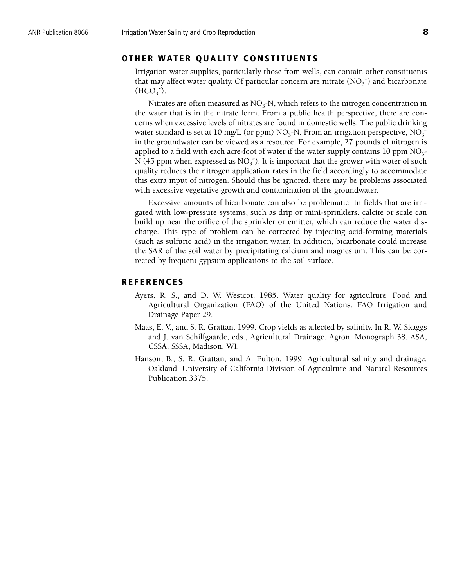#### **OTHER WATER QUALITY CONSTITUENTS**

Irrigation water supplies, particularly those from wells, can contain other constituents that may affect water quality. Of particular concern are nitrate  $(NO<sub>3</sub>^-)$  and bicarbonate  $(HCO<sub>3</sub><sup>-</sup>).$ 

Nitrates are often measured as  $NO<sub>3</sub>-N$ , which refers to the nitrogen concentration in the water that is in the nitrate form. From a public health perspective, there are concerns when excessive levels of nitrates are found in domestic wells. The public drinking water standard is set at 10 mg/L (or ppm)  $NO<sub>3</sub>$ -N. From an irrigation perspective,  $NO<sub>3</sub>$ in the groundwater can be viewed as a resource. For example, 27 pounds of nitrogen is applied to a field with each acre-foot of water if the water supply contains 10 ppm  $NO<sub>3</sub>$ -N (45 ppm when expressed as  $NO<sub>3</sub><sup>-</sup>$ ). It is important that the grower with water of such quality reduces the nitrogen application rates in the field accordingly to accommodate this extra input of nitrogen. Should this be ignored, there may be problems associated with excessive vegetative growth and contamination of the groundwater.

Excessive amounts of bicarbonate can also be problematic. In fields that are irrigated with low-pressure systems, such as drip or mini-sprinklers, calcite or scale can build up near the orifice of the sprinkler or emitter, which can reduce the water discharge. This type of problem can be corrected by injecting acid-forming materials (such as sulfuric acid) in the irrigation water. In addition, bicarbonate could increase the SAR of the soil water by precipitating calcium and magnesium. This can be corrected by frequent gypsum applications to the soil surface.

#### **REFERENCES**

- Ayers, R. S., and D. W. Westcot. 1985. Water quality for agriculture. Food and Agricultural Organization (FAO) of the United Nations. FAO Irrigation and Drainage Paper 29.
- Maas, E. V., and S. R. Grattan. 1999. Crop yields as affected by salinity. In R. W. Skaggs and J. van Schilfgaarde, eds., Agricultural Drainage. Agron. Monograph 38. ASA, CSSA, SSSA, Madison, WI.
- Hanson, B., S. R. Grattan, and A. Fulton. 1999. Agricultural salinity and drainage. Oakland: University of California Division of Agriculture and Natural Resources Publication 3375.